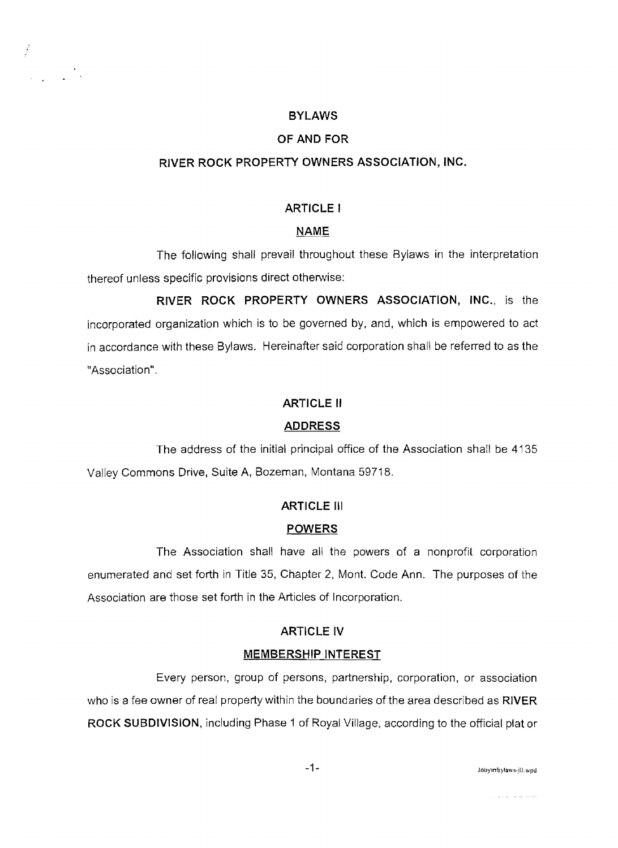## **BYLAWS**

## **OF AND FOR**

## **RIVER ROCK PROPERTY OWNERS ASSOCIATION, INC.**

## **ARTICLE I**

## **NAME**

The following shall prevail throughout these Bylaws in the interpretation thereof unless specific provisions direct otherwise:

**RIVER ROCK PROPERTY OWNERS ASSOCIATION,** INC., is the incorporated organization which is to be governed by, and, which is empowered to act in accordance with these Bylaws. Hereinafter said corporation shall be referred to as the "Association".

## **ARTICLE II**

## **ADDRESS**

The address of the initial principal office of the Association shall be 4135 Valley Commons Drive, Suite A, Bozeman, Montana 59718.

## **ARTICLE III**

## **POWERS**

The Association shall have all the powers of a nonprofit corporation enumerated and set forth in Title 35, Chapter 2, Mont. Code Ann. The purposes of the Association are those set forth in the Articles of Incorporation.

#### **ARTICLE IV**

#### **MEMBERSHIP INTEREST**

Every person, group of persons, partnership, corporation, or association who is a fee owner of real property within the boundaries of the area described as **RIVER ROCK SUBDIVISION,** including Phase 1 of Royal Village, according to the official plat or

-1- JObylrrbylaws·jlL wpd

المتمدد المدامين المرداني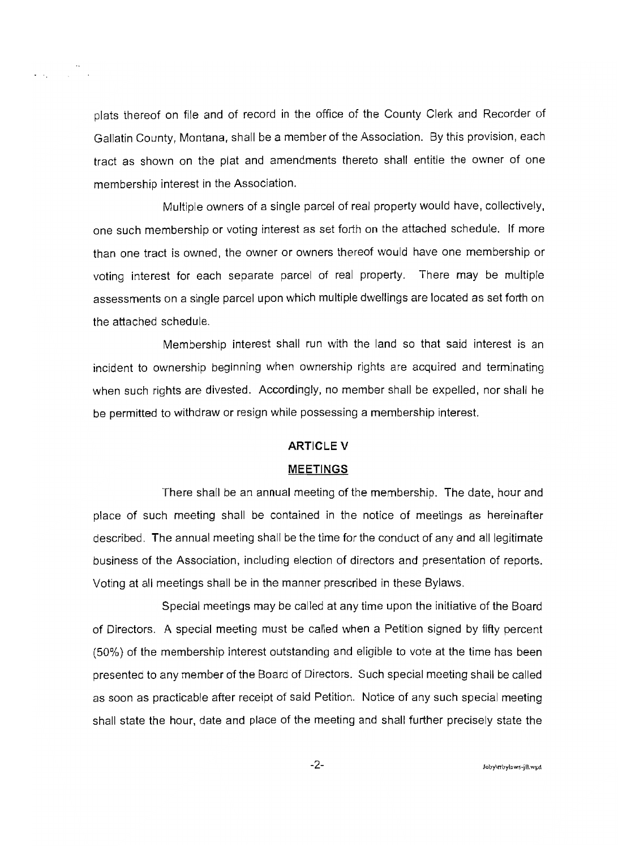plats thereof on file and of record in the office of the County Clerk and Recorder of Gallatin County, Montana, shall be a member of the Association. By this provision, each tract as shown on the plat and amendments thereto shall entitle the owner of one membership interest **in** the Association.

Multiple owners of a single parcel of real property would have, collectively, one such membership or voting interest as set forth on the attached schedule. If more than one tract is owned, the owner or owners thereof would have one membership or voting interest for each separate parcel of real property. There may be multiple assessments on a single parcel upon which multiple dwellings are located as set forth on the attached schedule.

Membership interest shall run with the land so that said interest is an incident to ownership beginning when ownership rights are acquired and terminating when such rights are divested. Accordingly, no member shall be expelled, nor shall he be permitted to withdraw or resign while possessing a membership interest.

#### **ARTICLE V**

#### **MEETINGS**

There shall be an annual meeting of the membership. The date, hour and place of such meeting shall be contained in the notice of meetings as hereinafter described. The annual meeting shall be the time for the conduct of any and all legitimate business of the Association, including election of directors and presentation of reports. Voting at all meetings shall be in the manner prescribed in these Bylaws.

Special meetings may be called at any time upon the initiative of the Board of Directors. A special meeting must be called when a Petition signed by fifty percent (50%) of the membership interest outstanding and eligible to vote at the time has been presented to any member of the Board of Directors. Such special meeting shall be called as soon as practicable after receipt of said Petition. Notice of any such special meeting shall state the hour, date and place of the meeting and shall further precisely state the

 $-2-$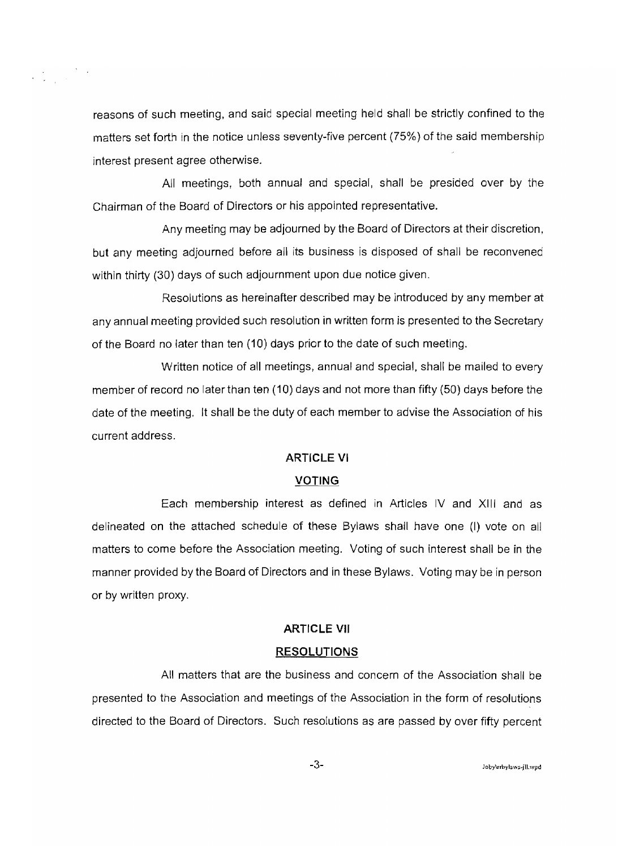

reasons of such meeting, and said special meeting held shall be strictly confined to the matters set forth in the notice unless seventy-five percent (75%) of the said membership interest present agree otherwise.

All meetings, both annual and special, shall be presided over by the Chairman of the Board of Directors or his appointed representative.

Any meeting may be adjourned by the Board of Directors at their discretion, but any meeting adjourned before all its business is disposed of shall be reconvened within thirty (30) days of such adjournment upon due notice given.

Resolutions as hereinafter described may be introduced by any member at any annual meeting provided such resolution in written form is presented to the Secretary of the Board no later than ten (10) days prior to the date of such meeting.

Written notice of all meetings, annual and special, shall be mailed to every member of record no later than ten (10) days and not more than fifty (50) days before the date of the meeting. It shall be the duty of each member to advise the Association of his current address.

#### **ARTICLE VI**

#### **VOTING**

Each membership interest as defined in Articles IV and XIJI and as delineated on the attached schedule of these Bylaws shall have one (I) vote on all matters to come before the Association meeting. Voting of such interest shall be in the manner provided by the Board of Directors and in these Bylaws. Voting may be in person or by written proxy.

#### **ARTICLE VII**

#### **RESOLUTIONS**

All matters that are the business and concern of the Association shall be presented to the Association and meetings of the Association in the form of resolutions directed to the Board of Directors. Such resolutions as are passed by over fifty percent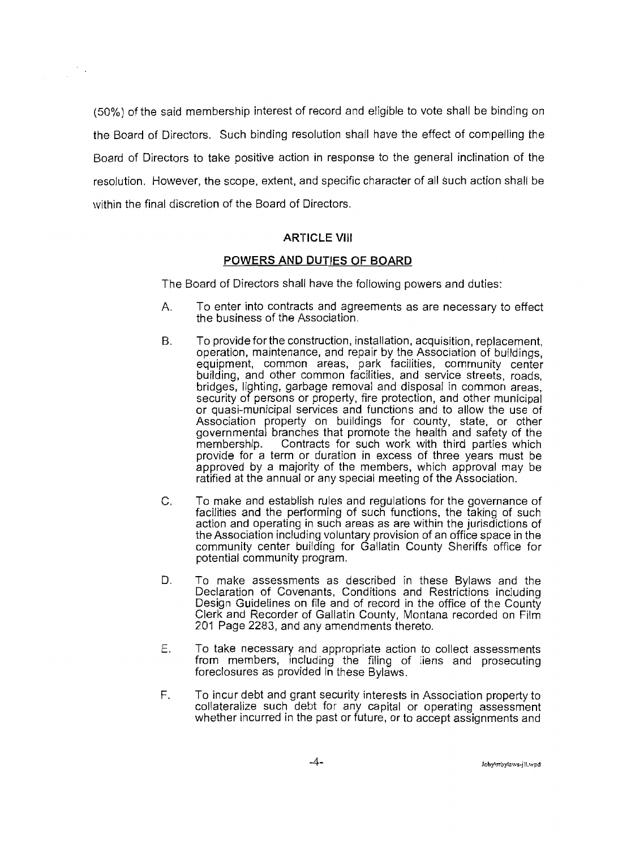(50%) of the said membership interest of record and eligible to vote shall be binding on the Board of Directors. Such binding resolution shall have the effect of compelling the Board of Directors to take positive action in response to the general inclination of the resolution. However, the scope, extent, and specific character of all such action shall be within the final discretion of the Board of Directors.

## **ARTICLE VIII**

#### **POWERS AND DUTIES OF BOARD**

The Board of Directors shall have the following powers and duties:

- A. To enter into contracts and agreements as are necessary to effect the business of the Association.
- B. To provide for the construction, installation, acquisition, replacement, operation, maintenance, and repair by the Association of buildings, equipment, common areas, park facilities, community center building, and other common facilities, and service streets, roads, bridges, lighting, garbage removal and disposal in common areas, security of persons or property, fire protection, and other municipal or quasi-municipal services and functions and to allow the use of Association property on buildings for county, state, or other governmental branches that promote the health and safety of the Contracts for such work with third parties which provide for a term or duration in excess of three years must be approved by a majority of the members, which approval may be ratified at the annual or any special meeting of the Association.
- C. To make and establish rules and regulations for the governance of facilities and the performing of such functions, the taking of such action and operating in such areas as are within the jurisdictions of the Association including voluntary provision of an office space in the community center building for Gallatin County Sheriffs office for potential community program.
- D. To make assessments as described in these Bylaws and the Declaration of Covenants, Conditions and Restrictions including Design Guidelines on file and of record in the office of the County Clerk and Recorder of Gallatin County, Montana recorded on Film 201 Page 2283, and any amendments thereto.
- E. To take necessary and appropriate action to collect assessments from members, including the filing of liens and prosecuting foreclosures as provided in these Bylaws.
- F. To incur debt and grant security interests in Association property to collateralize such debt for any capital or operating assessment whether incurred in the past or future, or to accept assignments and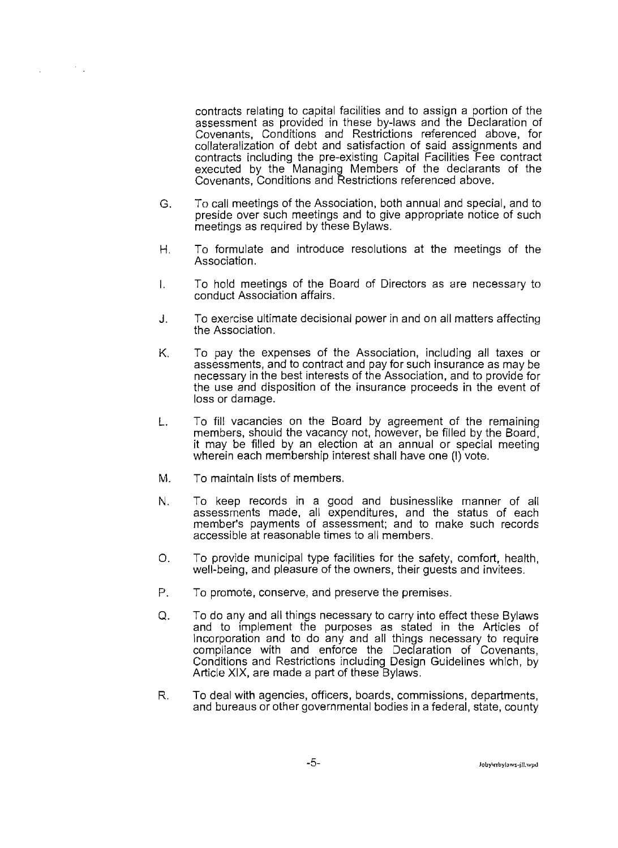

contracts relating to capital facilities and to assign a portion of the assessment as provided in these by-laws and the Declaration of Covenants, Conditions and Restrictions referenced above, for collateralization of debt and satisfaction of said assignments and contracts including the pre-existing Capital Facilities Fee contract executed by the Managing Members of the declarants of the Covenants, Conditions and Restrictions referenced above.

- G. To call meetings of the Association, both annual and special, and to preside over such meetings and to give appropriate notice of such meetings as required by these Bylaws.
- H. To formulate and introduce resolutions at the meetings of the Association.
- I. To hold meetings of the Board of Directors as are necessary to conduct Association affairs.
- J. To exercise ultimate decisional power in and on all matters affecting the Association.
- K. To pay the expenses of the Association, including all taxes or assessments, and to contract and pay for such insurance as may be necessary in the best interests of the Association, and to provide for the use and disposition of the insurance proceeds in the event of loss or damage.
- L. To fill vacancies on the Board by agreement of the remaining members, should the vacancy not, however, be filled by the Board, **it** may be filled by an election at an annual or special meeting wherein each membership interest shall have one (I) vote.
- M. To maintain lists of members.
- N. To keep records in a good and businesslike manner of all assessments made, all expenditures, and the status of each member's payments of assessment; and to make such records accessible at reasonable times to all members.
- O. To provide municipal type facilities for the safety, comfort, health, well-being, and pleasure of the owners, their guests and invitees.
- P. To promote, conserve, and preserve the premises.
- Q. To do any and all things necessary to carry into effect these Bylaws and to implement the purposes as stated in the Articles of Incorporation and to do any and all things necessary to require compliance with and enforce the Declaration of Covenants, Conditions and Restrictions including Design Guidelines which, by Article XIX, are made a part of these Bylaws.
- R. To deal with agencies, officers, boards, commissions, departments, and bureaus or other governmental bodies in a federal, state, county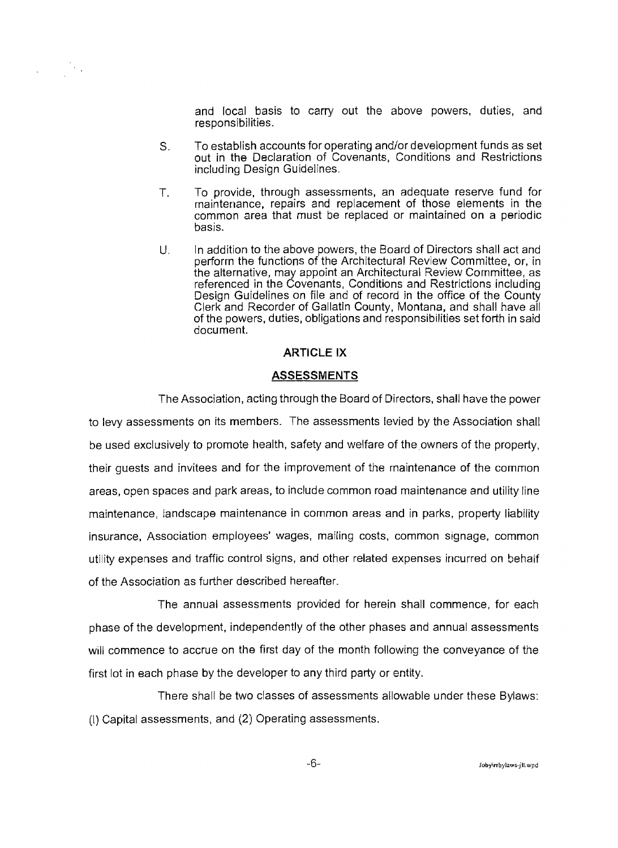and local basis to carry out the above powers, duties, and responsibilities.

S. To establish accounts for operating and/or development funds as set out in the Declaration of Covenants, Conditions and Restrictions including Design Guidelines.

- T. To provide, through assessments, an adequate reserve fund for maintenance, repairs and replacement of those elements in the common area that must be replaced or maintained on a periodic basis.
- U. In addition to the above powers, the Board of Directors shall act and perform the functions of the Architectural Review Committee, or, in the alternative, may appoint an Architectural Review Committee, as referenced in the Covenants, Conditions and Restrictions including Design Guidelines on file and of record in the office of the County Clerk and Recorder of Gallatin County, Montana, and shall have all of the powers, duties, obligations and responsibilities set forth in said document.

#### **ARTICLE IX**

#### **ASSESSMENTS**

The Association, acting through the Board of Directors, shall have the power

to levy assessments on its members. The assessments levied by the Association shall be used exclusively to promote health, safety and welfare of the owners of the property, their guests and invitees and for the improvement of the maintenance of the common areas, open spaces and park areas, to include common road maintenance and utility line maintenance, landscape maintenance in common areas and in parks, property liability insurance, Association employees' wages, mailing costs, common signage, common utility expenses and traffic control signs, and other related expenses incurred on behalf of the Association as further described hereafter.

The annual assessments provided for herein shall commence, for each phase of the development, independently of the other phases and annual assessments will commence to accrue on the first day of the month following the conveyance of the first lot in each phase by the developer to any third party or entity.

There shall be two classes of assessments allowable under these Bylaws: (I) Capital assessments, and (2) Operating assessments.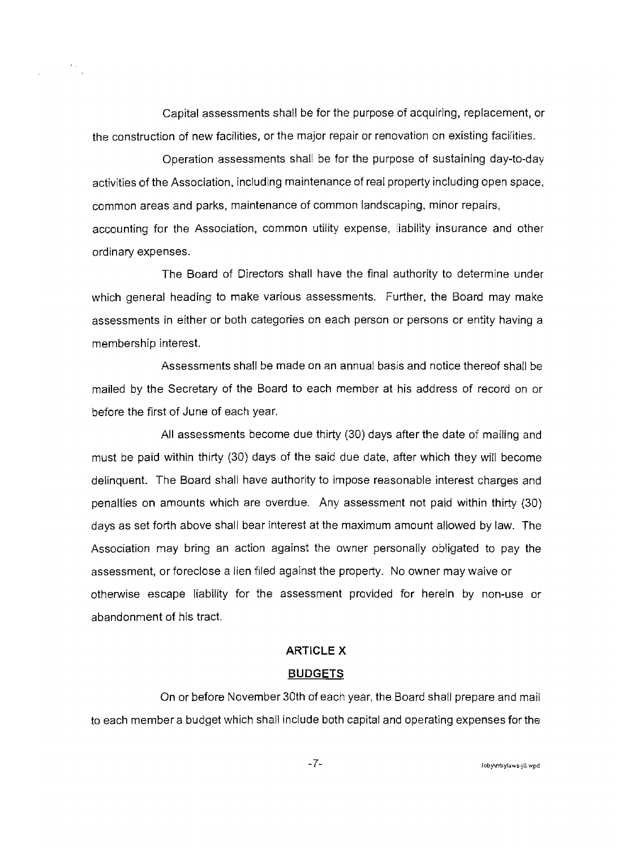Capital assessments shall be for the purpose of acquiring, replacement, or the construction of new facilities, or the major repair or renovation on existing facilities.

Operation assessments shall be for the purpose of sustaining day~to~day activities of the Association, including maintenance of real property including open space, common areas and parks, maintenance of common landscaping, minor repairs, accounting for the Association, common utility expense, liability insurance and other ordinary expenses.

The Board of Directors shall have the final authority to determine under which general heading to make various assessments. Further, the Board may make assessments in either or both categories on each person or persons or entity having a membership interest.

Assessments shall be made on an annual basis and notice thereof shall be mailed by the Secretary of the Board to each member at his address of record on or before the first of June of each year.

All assessments become due thirty (30) days after the date of malling and must be paid within thirty (30) days of the said due date, after which they will become delinquent. The Board shall have authority to impose reasonable interest charges and penalties on amounts which are overdue. Any assessment not paid within thirty (30) days as set forth above shall bear interest at the maximum amount allowed by law. The Association may bring an action against the owner personally obligated to pay the assessment, or foreclose a lien filed against the property. No owner may waive or otherwise escape liability for the assessment provided for herein by non~use or abandonment of his tract

#### **ARTICLE** X

## **BUDGETS**

On or before November 30th of each year, the Board shall prepare and mail to each member a budget which shall include both capital and operating expenses for the

 $-7-$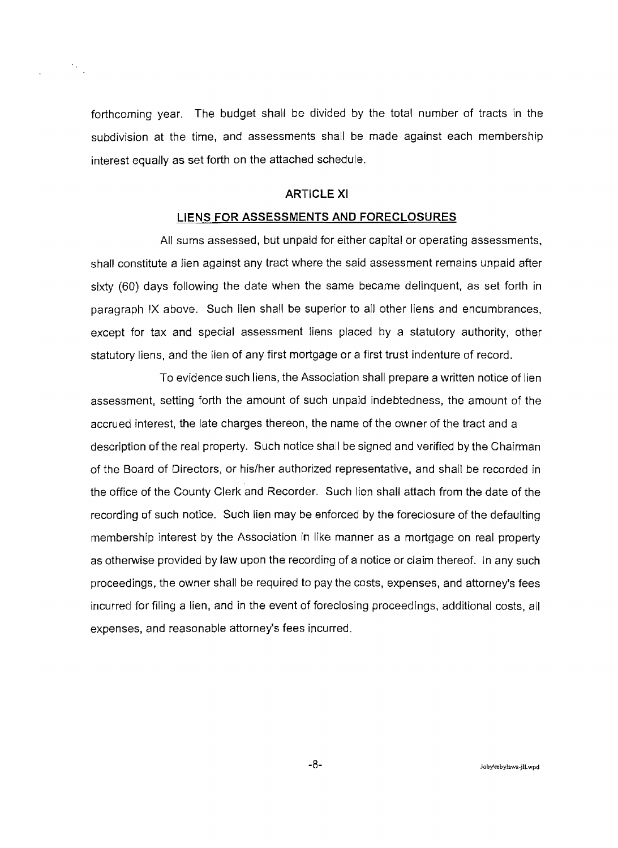forthcoming year. The budget shall be divided by the total number of tracts in the subdivision at the time, and assessments shall be made against each membership interest equally as set forth on the attached schedule.

 $\frac{1}{2}$ 

## **ARTICLE XI**

#### **LIENS FOR ASSESSMENTS AND FORECLOSURES**

All sums assessed, but unpaid for either capital or operating assessments, shall constitute a lien against any tract where the said assessment remains unpaid after sixty (60) days following the date when the same became delinquent, as set forth in paragraph IX above. Such lien shall be superior to all other liens and encumbrances, except for tax and special assessment liens placed by a statutory authority, other statutory liens, and the lien of any first mortgage or a first trust indenture of record.

To evidence such liens, the Association shall prepare a written notice of lien assessment, setting forth the amount of such unpaid indebtedness, the amount of the accrued interest, the late charges thereon, the name of the owner of the tract and a description of the real property. Such notice shall be signed and verified by the Chairman of the Board of Directors, or his/her authorized representative, and shall be recorded in the office of the County Clerk and Recorder. Such lien shall attach from the date of the recording of such notice. Such lien may be enforced by the foreclosure of the defaulting membership interest by the Association in like manner as a mortgage on real property as otherwise provided by law upon the recording of a notice or claim thereof. In any such proceedings, the owner shall be required to pay the costs, expenses, and attorney's fees incurred for filing a lien, and in the event of foreclosing proceedings, additional costs, all expenses, and reasonable attorney's fees incurred.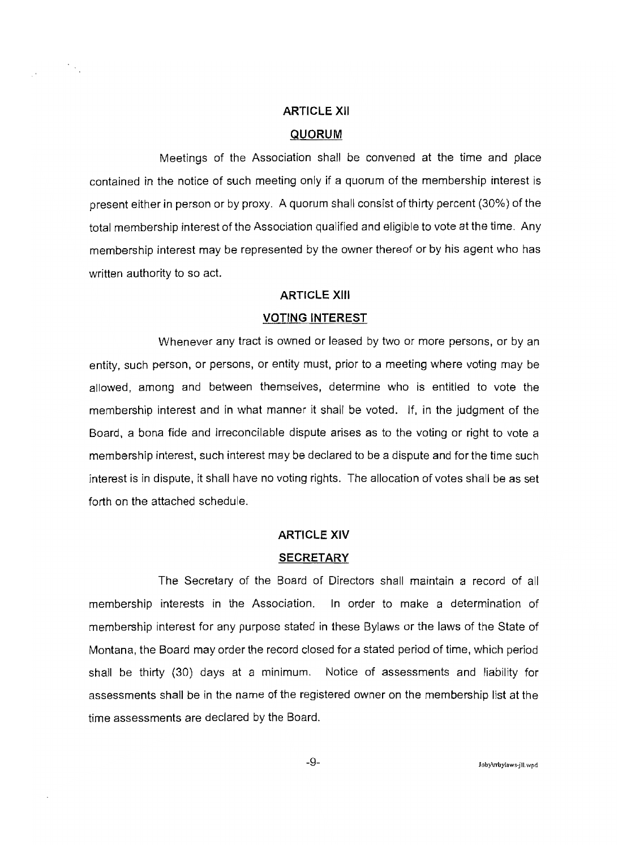# **ARTICLE XII QUORUM**

Meetings of the Association shall be convened at the time and place contained in the notice of such meeting only if a quorum of the membership interest is present either in person or by proxy. A quorum shall consist of thirty percent (30%) of the total membership interest of the Association qualified and eligible to vote at the time. Any membership interest may be represented by the owner thereof or by his agent who has written authority to so act.

## **ARTICLE XIII**

#### **VOTING INTEREST**

Whenever any tract is owned or leased by two or more persons, or by an entity, such person, or persons, or entity must, prior to a meeting where voting may be allowed, among and between themselves, determine who is entitled to vote the membership interest and in what manner it shall be voted. If, in the judgment of the Board, a bona fide and irreconcilable dispute arises as to the voting or right to vote a membership interest, such interest may be declared to be a dispute and for the time such interest is in dispute, it shall have no voting rights. The allocation of votes shall be as set forth on the attached schedule.

#### **ARTICLE XIV**

#### **SECRETARY**

The Secretary of the Board of Directors shall maintain a record of all membership interests in the Association. In order to make a determination of membership interest for any purpose stated in these Bylaws or the laws of the State of Montana, the Board may order the record closed for a stated period of time, which period shall be thirty (30) days at a minimum. Notice of assessments and liability for assessments shall be in the name of the registered owner on the membership list at the time assessments are declared by the Board.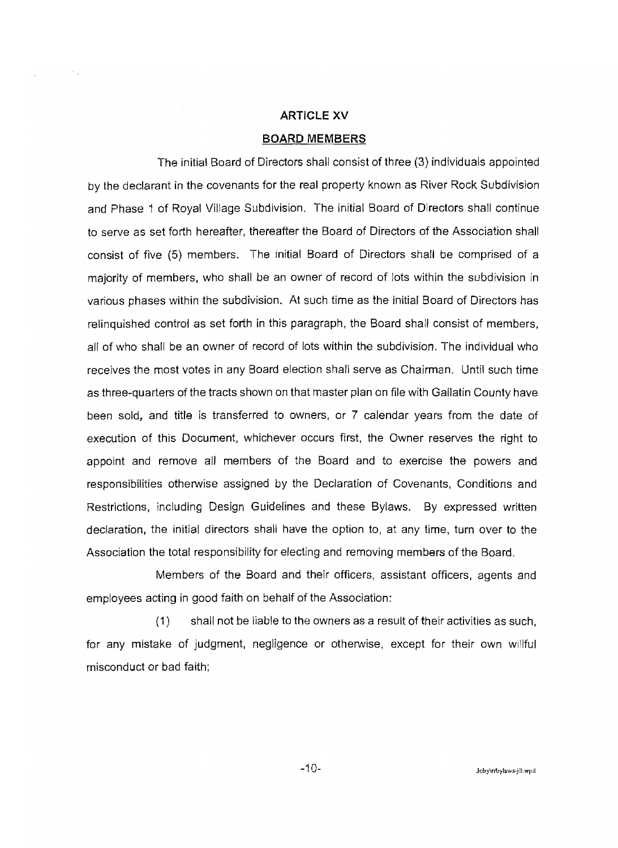## **ARTICLE XV**

## **BOARD MEMBERS**

The initial Board of Directors shall consist of three (3) individuals appointed by the declarant in the covenants for the real property known as River Rock Subdivision and Phase 1 of Royal Village Subdivision. The initial Board of Directors shall continue to serve as set forth hereafter, thereafter the Board of Directors of the Association shall consist of five (5) members. The initial Board of Directors shall be comprised of a majority of members, who shall be an owner of record of lots within the subdivision in various phases within the subdivision. At such time as the initial Board of Directors has relinquished control as set forth in this paragraph, the Board shall consist of members, all of who shall be an owner of record of lots within the subdivision. The individual who receives the most votes in any Board election shall serve as Chairman. Until such time as three-quarters of the tracts shown on that master plan on file with Gallatin County have been sold, and title is transferred to owners, or 7 calendar years from the date of execution of this Document, whichever occurs first, the Owner reserves the right to appoint and remove all members of the Board and to exercise the powers and responsibilities otherwise assigned by the Declaration of Covenants, Conditions and Restrictions, including Design Guidelines and these Bylaws. By expressed written declaration, the initial directors shall have the option to, at any time, turn over to the Association the total responsibility for electing and removing members of the Board.

Members of the Board and their officers, assistant officers, agents and employees acting in good faith on behalf of the Association:

(1) shall not be liable to the owners as a result of their activities as such, for any mistake of judgment, negligence or otherwise, except for their own willful misconduct or bad faith;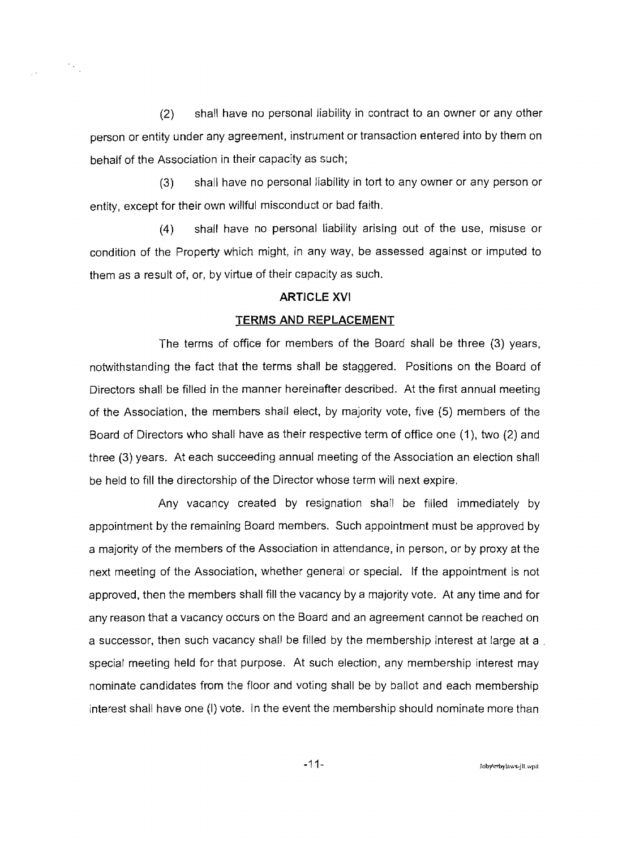(2) shall have no personal liability in contract to an owner or any other person or entity under any agreement, instrument or transaction entered into by them on behalf of the Association in their capacity as such;

 $\mathcal{O}_{\mathcal{A}_{\mathcal{A}}^{(1)}}$ 

 $\frac{1}{2}$  .

(3) shall have no personal liability in tort to any owner or any person or entity, except for their own willful misconduct or bad faith.

(4) shall have no personal liability arising out of the use, misuse or condition of the Property which might, in any way, be assessed against or imputed to them as a result of, or, by virtue of their capacity as such.

#### **ARTICLE XVI**

#### **TERMS AND REPLACEMENT**

The terms of office for members of the Board shall be three (3) years, notwithstanding the fact that the terms shall be staggered. Positions on the Board of Directors shall be filled in the manner hereinafter described. At the first annual meeting of the Association, the members shall elect, by majority vote, five (5) members of the Board of Directors who shall have as their respective term of office one (1), two (2) and three (3) years. At each succeeding annual meeting of the Association an election shall be held to fill the directorship of the Director whose term will next expire.

Any vacancy created by resignation shall be filled immediately by appointment by the remaining Board members. Such appointment must be approved by a majority of the members of the Association in attendance, in person, or by proxy at the next meeting of the Association, whether general or special. If the appointment is not approved, then the members shall fill the vacancy by a majority vote. At any time and for any reason that a vacancy occurs on the Board and an agreement cannot be reached on a successor, then such vacancy shall be filled by the membership interest at large at a . special meeting held for that purpose. At such election, any membership interest may nominate candidates from the floor and voting shall be by ballot and each membership interest shall have one (I) vote. in the event the membership should nominate more than

 $-11-$  Jobykrbylaws-jll. wpd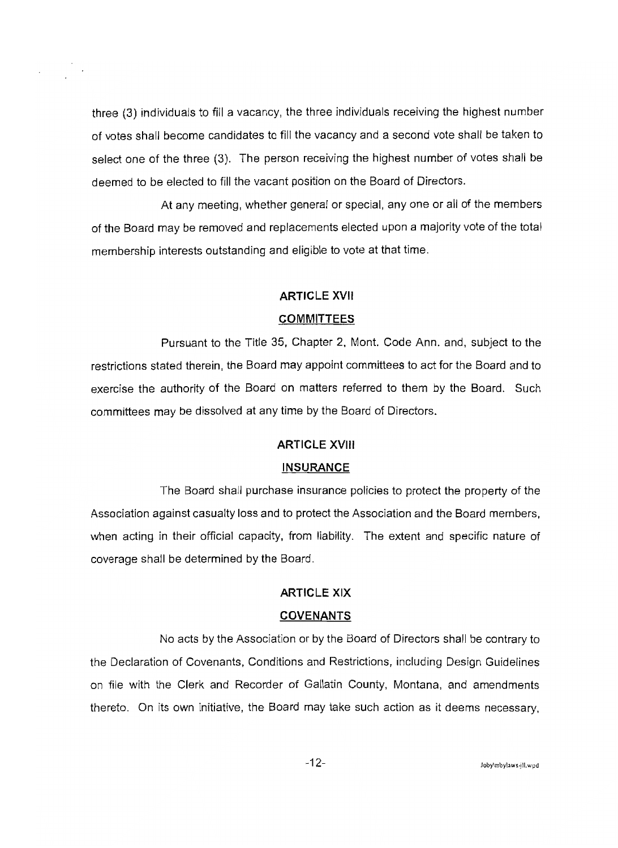three (3) individuals to fill a vacancy. the three individuals receiving the highest number of votes shall become candidates to fill the vacancy and a second vote shall be taken to select one of the three (3). The person receiving the highest number of votes shall be deemed to be elected to fill the vacant position on the Board of Directors.

At any meeting. whether general or special, anyone or all of the members of the Board may be removed and replacements elected upon a majority vote of the total membership interests outstanding and eligible to vote at that time.

## **ARTICLE XVII**

## **COMMITTEES**

Pursuant to the Title 35, Chapter 2, Mont. Code Ann. and, subject to the restrictions stated therein, the Board may appoint committees to act for the Board and to exercise the authority of the Board on matters referred to them by the Board. Such committees may be dissolved at any time by the Board of Directors.

## **ARTICLE XVIII**

#### **INSURANCE**

The Board shall purchase insurance policies to protect the property of the Association against casualty loss and to protect the Association and the Board members, when acting in their official capacity, from liability. The extent and specific nature of coverage shall be determined by the Board.

## **ARTICLE XIX**

#### **COVENANTS**

No acts by the Association or by the Board of Directors shall be contrary to the Declaration of Covenants. Conditions and Restrictions. including Design Guidelines on file with the Clerk and Recorder of GaJlatin County, Montana, and amendments thereto. On its own initiative, the Board may take such action as it deems necessary,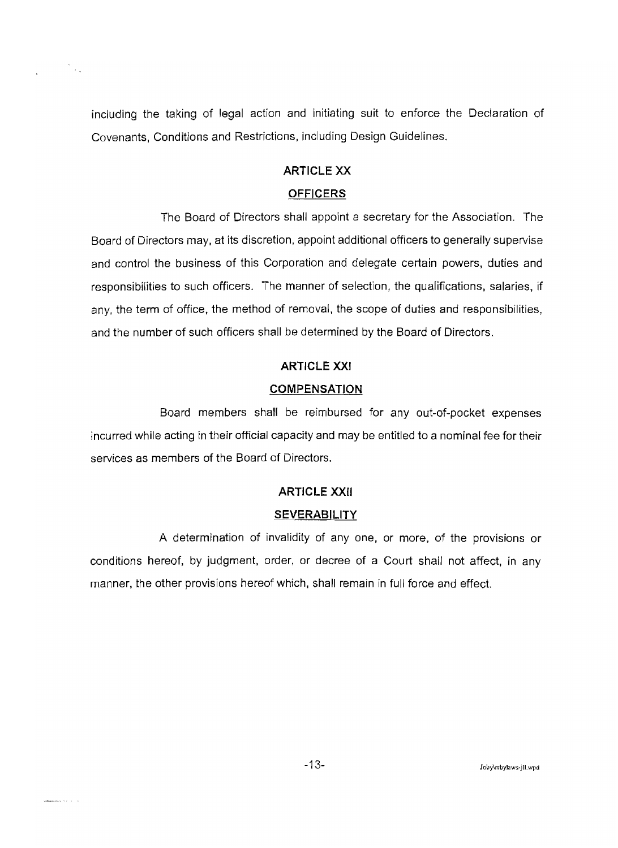including the taking of legal action and initiating suit to enforce the Declaration of Covenants, Conditions and Restrictions, including Design Guidelines.

 $\frac{1}{\sqrt{2}}$ 

whenever  $\alpha\in\mathbb{R}^{d-1}$ 

## ARTICLE XX

## **OFFICERS**

The Board of Directors shall appoint a secretary for the Association. The Board of Directors may. at its discretion, appoint additional officers to generally supervise and control the business of this Corporation and delegate certain powers. duties and responsibilities to such officers. The manner of selection, the qualifications. salaries, if any, the term of office, the method of removal, the scope of duties and responsibilities, and the number of such officers shall be determined by the Board of Directors.

## ARTICLE XXI

#### **COMPENSATION**

Board members shall be reimbursed for any out-of-pocket expenses incurred while acting in their official capacity and may be entitled to a nominal fee for their services as members of the Board of Directors.

## **ARTICLE XXII**

#### **SEVERABILITY**

A determination of invalidity of anyone, or more, of the provisions or conditions hereof, by judgment, order, or decree of a Court shall not affect, in any manner, the other provisions hereof which, shall remain in full force and effect.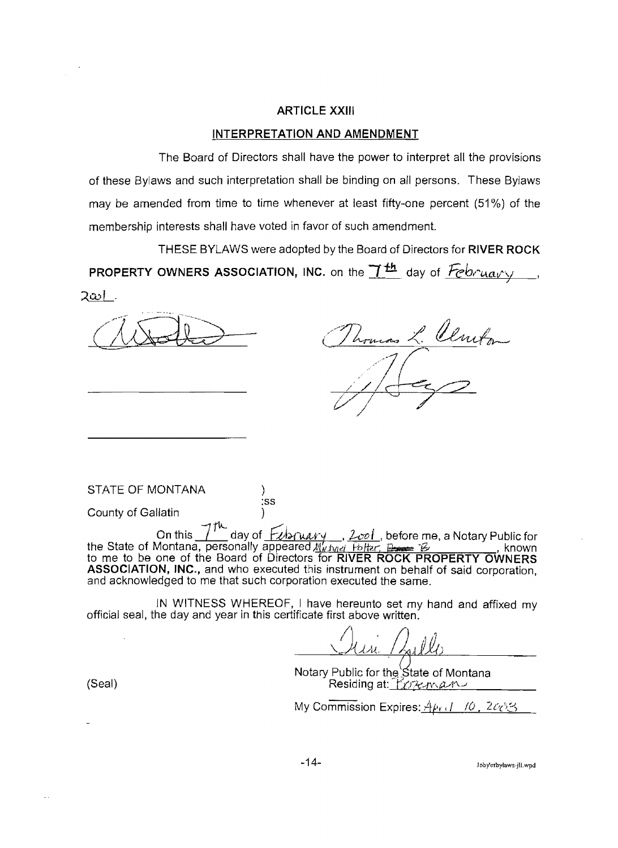## **ARTICLE XXIII**

#### **INTERPRETATION AND AMENDMENT**

The Board of Directors shall have the power to interpret all the provisions of these Bylaws and such interpretation shall be binding on all persons. These Bylaws may be amended from time to time whenever at least fifty-one percent (51 %) of the membership interests shall have voted in favor of such amendment.

TH ESE BYLAWS were adopted by the Board of Directors for **RIVER ROCK**  PROPERTY OWNERS ASSOCIATION, INC. on the <u>ITH day of *Februal* y</u> 2ట .

L. Clmt

STATE OF MONTANA

County of Gallatin )

 $7^{\mu}$  dough  $F$ On this <u>I</u> day of *Exbruary*, *Leel*, before me, a Notary Public for the State of Montana, personally appeared.<u>//thind Poltar, Denes Borges .</u>.. , known to me to be one of the Board of Directors for **RIVER ROCK PROPERTY OWNERS ASSOCIATION, INC.,** and who executed this instrument on behalf of said corporation, and acknowledged to me that such corporation executed the same.

:ss

IN WITNESS WHEREOF, I have hereunto set my hand and affixed my official seal, the day and year in this certificate first above written.

 $\mathcal{A}$  $\mu$ iove written.<br> $\mu$ . /  $\mu$ lle *II}*   $\sqrt{\mathcal{A}}\mathcal{A}\mathcal{A}$ 

Notary Public for the State of Montana المستقلية (Seal) Residing at: المستقلية المستقلية المستقلية المستقلية المستقلية المستقلية المستقلية المستقلية

My Commission Expires: *April - 10 , 2대*3

-14- Jobylrrbylows-jU, wpd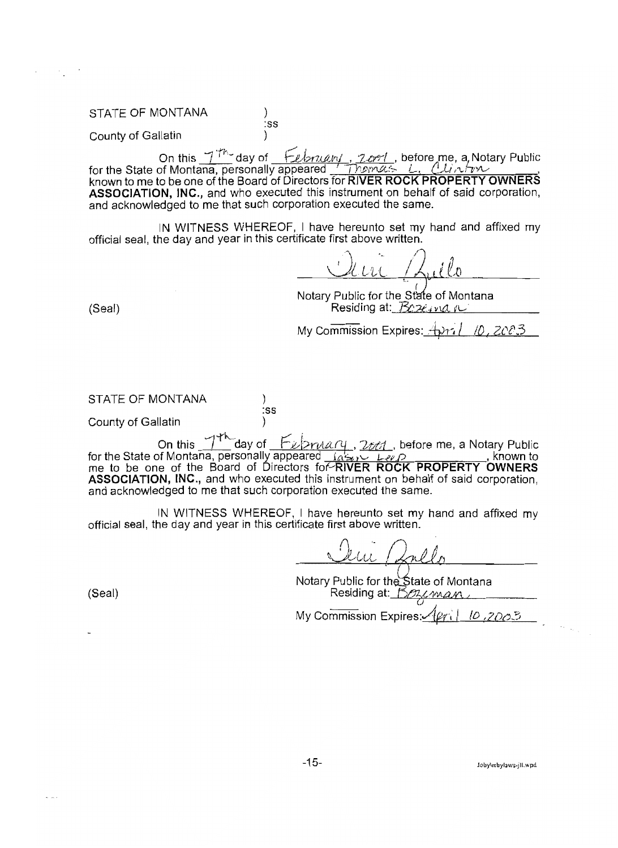#### STATE OF MONTANA (1)

County of Gallatin )

on this  $-7$ <sup>Th</sup> day of *february, 2.cro* , before me, a Notary Public for the State of Montana, personally appeared <u>Themas L. Clinter (Wing</u>, known to me to be one of the Board of Directors for RIVER ROCK PROPERTY OWNERS **ASSOCIATION, INC.,** and who executed this instrument on behalf of said corporation, and acknowledged to me that such corporation executed the same.

:ss

IN WITNESS WHEREOF, I have hereunto set my hand and affixed my official seal, the day and year in this certificate first above written.

\ <u>Ultre /Luilo</u>

Notary Public for the State of Montana (Seal) Residing at: *Boxeavia it* FL- in flatting at: *Boxeavia it* 

My Commission Expires:  $\oplus$ 77

STATE OF MONTANA

County of Gallatin )

*'---1* 'fh.-. r/ b On this day of r VI'/YI!Ltt(1{ ,~tt;u1 , before me, a Notary Public for the State of Montana, personally appeared me to be one of the Board of Directors for RIVER ROCK PROPERTY OWNERS **ASSOCIATION, INC.,** and who executed this instrument on behalf of said corporation, and acknowledged to me that such corporation executed the same.

:ss

IN WITNESS WHEREOF, I have hereunto set my hand and affixed my official seal, the day and year in this certificate first above written.

 $\bigcap$ <u>ran |</u>

Notary Public for the State of Montana  $(Seal)$  Residing at: the Residing at: the Residing at: the Residing at: the Residing at: the Residing at: the Residing at: the Residing at: the Residing at: the Residing at: the Residing at: the Residing at: the Residing a

My Commission Expires: $\sqrt{\varphi_1}$  *[D ,ZDO*.5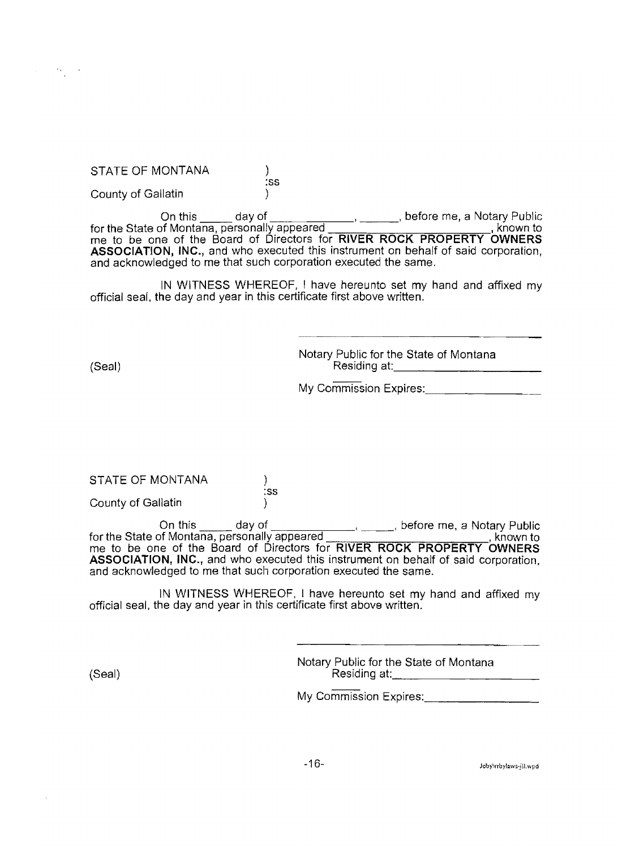STATE OF MONTANA

county of Gallatin )

On this day of for the State of Montana, personally appeared , before me, a Notary Public , known to me to be one of the Board of Directors for **RIVER ROCK PROPERTY OWNERS ASSOCIATION, INC.,** and who executed this instrument on behalf of said corporation, and acknowledged to me that such corporation executed the same.

:ss

)

IN WITNESS WHEREOF, I have hereunto set my hand and affixed my official seal, the day and year in this certificate first above written.

Notary Public for the State of Montana (Seal) Residing at: 2008 (Seal)

My Commission Expires:

STATE OF MONTANA

County of Gallatin )

On this \_\_\_\_\_ day of \_\_\_\_\_\_\_\_\_\_\_\_\_\_\_\_\_\_\_\_\_\_, before me, a Notary Public<br>for the State of Montana, personally appeared \_\_\_\_\_\_\_\_\_\_\_\_\_\_\_\_\_\_\_\_\_\_\_\_\_\_\_\_\_, known to for the State of Montana, personally appeared \_\_\_\_\_\_\_\_\_\_\_\_\_\_\_\_\_\_\_\_\_\_\_\_\_\_\_, known to me to be one of the Board of Directors for **RIVER ROCK PROPERTY OWNERS ASSOCIATION,** INC., and who executed this instrument on behalf of said corporation, and acknowledged to me that such corporation executed the same.

:ss

IN WITNESS WHEREOF, I have hereunto set my hand and affixed my official seal, the day and year in this certificate first above written.

Notary Public for the State of Montana (Seal) Residing at: 2008 Residing at: 2008 Residing at: 2008 Residing at: 2008 Residing at:

My Commission Expires:

-16- Joby\rrbyJaws-jlLwpd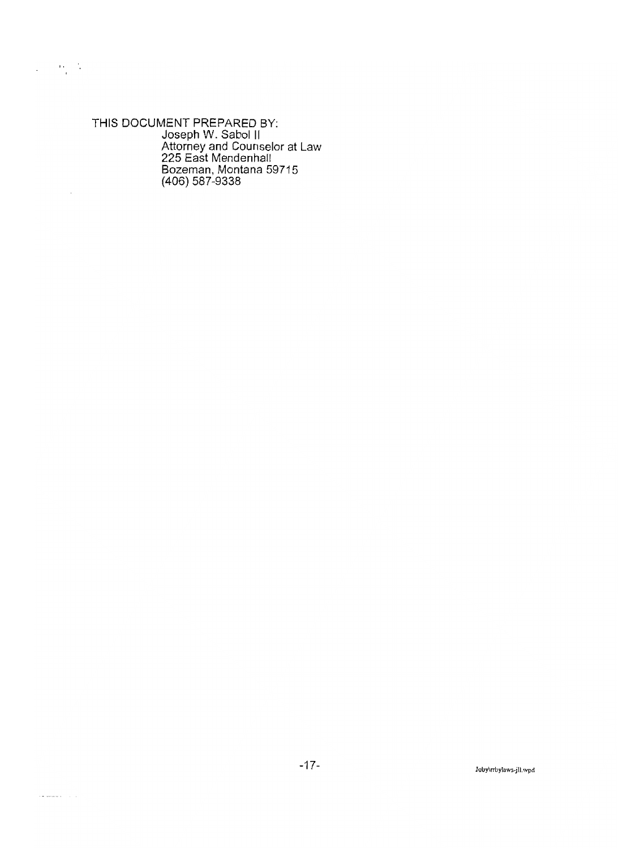THIS DOCUMENT PREPARED BY: Joseph W. Sabol II Attorney and Counselor at Law 225 East Mendenhall Bozeman, Montana 59715 (406) 587-9338

 $\omega = 0.05$ 

 $\overline{a}$ 

.<br>American Film